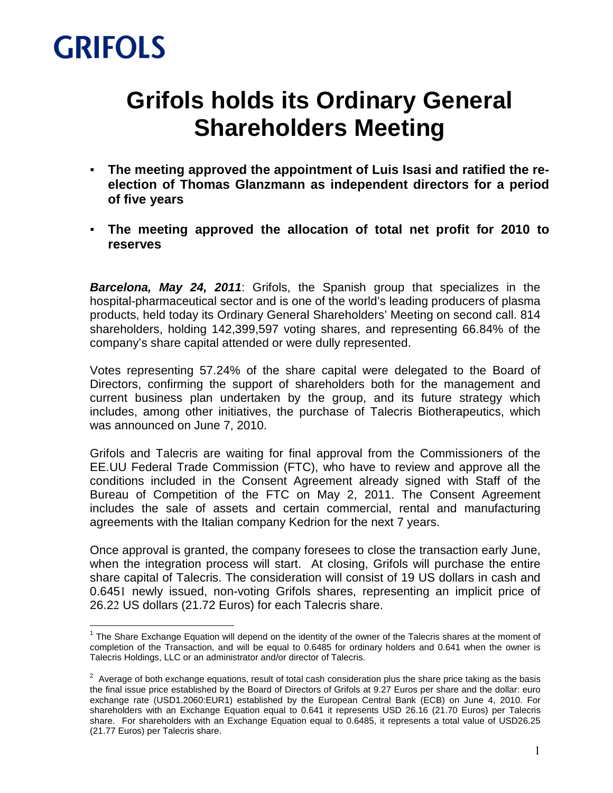## **GRIFOLS**

l.

### **Grifols holds its Ordinary General Shareholders Meeting**

- **The meeting approved the appointment of Luis Isasi and ratified the reelection of Thomas Glanzmann as independent directors for a period of five years**
- **The meeting approved the allocation of total net profit for 2010 to reserves**

**Barcelona, May 24, 2011**: Grifols, the Spanish group that specializes in the hospital-pharmaceutical sector and is one of the world's leading producers of plasma products, held today its Ordinary General Shareholders' Meeting on second call. 814 shareholders, holding 142,399,597 voting shares, and representing 66.84% of the company's share capital attended or were dully represented.

Votes representing 57.24% of the share capital were delegated to the Board of Directors, confirming the support of shareholders both for the management and current business plan undertaken by the group, and its future strategy which includes, among other initiatives, the purchase of Talecris Biotherapeutics, which was announced on June 7, 2010.

Grifols and Talecris are waiting for final approval from the Commissioners of the EE.UU Federal Trade Commission (FTC), who have to review and approve all the conditions included in the Consent Agreement already signed with Staff of the Bureau of Competition of the FTC on May 2, 2011. The Consent Agreement includes the sale of assets and certain commercial, rental and manufacturing agreements with the Italian company Kedrion for the next 7 years.

Once approval is granted, the company foresees to close the transaction early June, when the integration process will start. At closing, Grifols will purchase the entire share capital of Talecris. The consideration will consist of 19 US dollars in cash and 0.6451 newly issued, non-voting Grifols shares, representing an implicit price of 26.22 US dollars (21.72 Euros) for each Talecris share.

 $1$  The Share Exchange Equation will depend on the identity of the owner of the Talecris shares at the moment of completion of the Transaction, and will be equal to 0.6485 for ordinary holders and 0.641 when the owner is Talecris Holdings, LLC or an administrator and/or director of Talecris.

 $2$  Average of both exchange equations, result of total cash consideration plus the share price taking as the basis the final issue price established by the Board of Directors of Grifols at 9.27 Euros per share and the dollar: euro exchange rate (USD1.2060:EUR1) established by the European Central Bank (ECB) on June 4, 2010. For shareholders with an Exchange Equation equal to 0.641 it represents USD 26.16 (21.70 Euros) per Talecris share. For shareholders with an Exchange Equation equal to 0.6485, it represents a total value of USD26.25 (21.77 Euros) per Talecris share.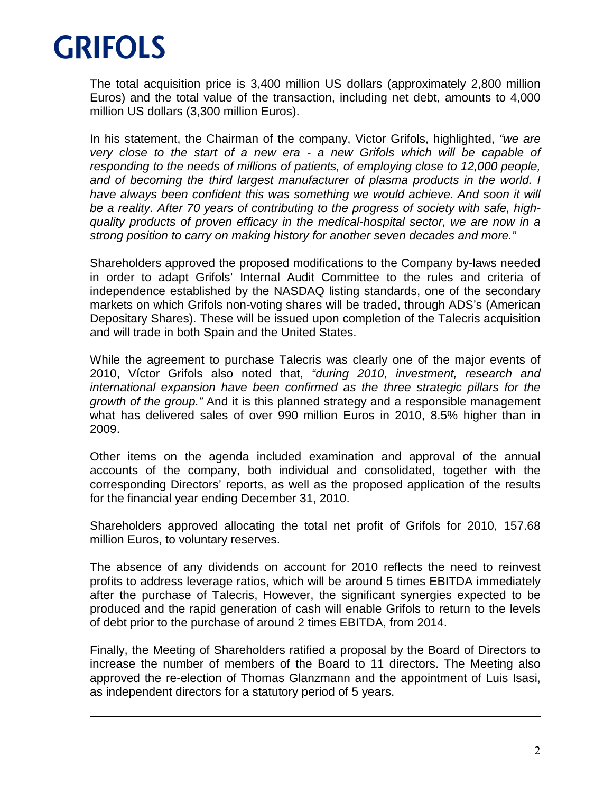

 $\overline{a}$ 

The total acquisition price is 3,400 million US dollars (approximately 2,800 million Euros) and the total value of the transaction, including net debt, amounts to 4,000 million US dollars (3,300 million Euros).

In his statement, the Chairman of the company, Victor Grifols, highlighted, "we are very close to the start of a new era - a new Grifols which will be capable of responding to the needs of millions of patients, of employing close to 12,000 people, and of becoming the third largest manufacturer of plasma products in the world. I have always been confident this was something we would achieve. And soon it will be a reality. After 70 years of contributing to the progress of society with safe, highquality products of proven efficacy in the medical-hospital sector, we are now in a strong position to carry on making history for another seven decades and more."

Shareholders approved the proposed modifications to the Company by-laws needed in order to adapt Grifols' Internal Audit Committee to the rules and criteria of independence established by the NASDAQ listing standards, one of the secondary markets on which Grifols non-voting shares will be traded, through ADS's (American Depositary Shares). These will be issued upon completion of the Talecris acquisition and will trade in both Spain and the United States.

While the agreement to purchase Talecris was clearly one of the major events of 2010, Víctor Grifols also noted that, "during 2010, investment, research and international expansion have been confirmed as the three strategic pillars for the growth of the group." And it is this planned strategy and a responsible management what has delivered sales of over 990 million Euros in 2010, 8.5% higher than in 2009.

Other items on the agenda included examination and approval of the annual accounts of the company, both individual and consolidated, together with the corresponding Directors' reports, as well as the proposed application of the results for the financial year ending December 31, 2010.

Shareholders approved allocating the total net profit of Grifols for 2010, 157.68 million Euros, to voluntary reserves.

The absence of any dividends on account for 2010 reflects the need to reinvest profits to address leverage ratios, which will be around 5 times EBITDA immediately after the purchase of Talecris, However, the significant synergies expected to be produced and the rapid generation of cash will enable Grifols to return to the levels of debt prior to the purchase of around 2 times EBITDA, from 2014.

Finally, the Meeting of Shareholders ratified a proposal by the Board of Directors to increase the number of members of the Board to 11 directors. The Meeting also approved the re-election of Thomas Glanzmann and the appointment of Luis Isasi, as independent directors for a statutory period of 5 years.